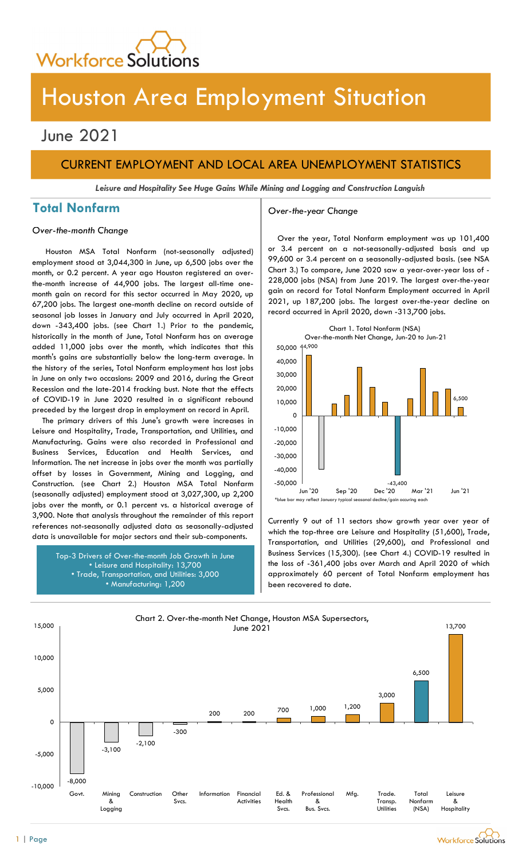

# Houston Area Employment Situation

## June 2021

## CURRENT EMPLOYMENT AND LOCAL AREA UNEMPLOYMENT STATISTICS

Leisure and Hospitality See Huge Gains While Mining and Logging and Construction Languish

## Total Nonfarm and a settle over-the-year Change

### Over-the-month Change

Houston MSA Total Nonfarm (not-seasonally adjusted) employment stood at 3,044,300 in June, up 6,500 jobs over the month, or 0.2 percent. A year ago Houston registered an overthe-month increase of 44,900 jobs. The largest all-time onemonth gain on record for this sector occurred in May 2020, up 67,200 jobs. The largest one-month decline on record outside of seasonal job losses in January and July occurred in April 2020, down -343,400 jobs. (see Chart 1.) Prior to the pandemic, historically in the month of June, Total Nonfarm has on average added 11,000 jobs over the month, which indicates that this month's gains are substantially below the long-term average. In the history of the series, Total Nonfarm employment has lost jobs in June on only two occasions: 2009 and 2016, during the Great Recession and the late-2014 fracking bust. Note that the effects of COVID-19 in June 2020 resulted in a significant rebound preceded by the largest drop in employment on record in April.

The primary drivers of this June's growth were increases in Leisure and Hospitality, Trade, Transportation, and Utilities, and Manufacturing. Gains were also recorded in Professional and Business Services, Education and Health Services, and Information. The net increase in jobs over the month was partially offset by losses in Government, Mining and Logging, and Construction. (see Chart 2.) Houston MSA Total Nonfarm (seasonally adjusted) employment stood at 3,027,300, up 2,200 jobs over the month, or 0.1 percent vs. a historical average of 3,900. Note that analysis throughout the remainder of this report references not-seasonally adjusted data as seasonally-adjusted data is unavailable for major sectors and their sub-components.

> Top-3 Drivers of Over-the-month Job Growth in June • Leisure and Hospitality: 13,700 • Trade, Transportation, and Utilities: 3,000 • Manufacturing: 1,200

Over the year, Total Nonfarm employment was up 101,400 or 3.4 percent on a not-seasonally-adjusted basis and up 99,600 or 3.4 percent on a seasonally-adjusted basis. (see NSA Chart 3.) To compare, June 2020 saw a year-over-year loss of - 228,000 jobs (NSA) from June 2019. The largest over-the-year gain on record for Total Nonfarm Employment occurred in April 2021, up 187,200 jobs. The largest over-the-year decline on record occurred in April 2020, down -313,700 jobs.



Currently 9 out of 11 sectors show growth year over year of which the top-three are Leisure and Hospitality (51,600), Trade, Transportation, and Utilities (29,600), and Professional and Business Services (15,300). (see Chart 4.) COVID-19 resulted in the loss of -361,400 jobs over March and April 2020 of which approximately 60 percent of Total Nonfarm employment has been recovered to date.

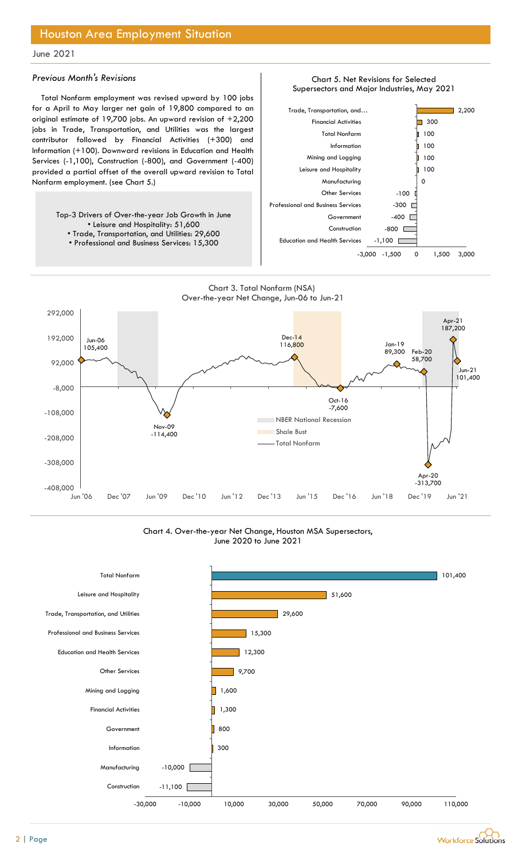### Previous Month's Revisions

Total Nonfarm employment was revised upward by 100 jobs for a April to May larger net gain of 19,800 compared to an original estimate of 19,700 jobs. An upward revision of +2,200 jobs in Trade, Transportation, and Utilities was the largest contributor followed by Financial Activities (+300) and Information (+100). Downward revisions in Education and Health Services (-1,100), Construction (-800), and Government (-400) provided a partial offset of the overall upward revision to Total Nonfarm employment. (see Chart 5.)

> Top-3 Drivers of Over-the-year Job Growth in June • Leisure and Hospitality: 51,600

• Trade, Transportation, and Utilities: 29,600 • Professional and Business Services: 15,300







Chart 4. Over-the-year Net Change, Houston MSA Supersectors, June 2020 to June 2021



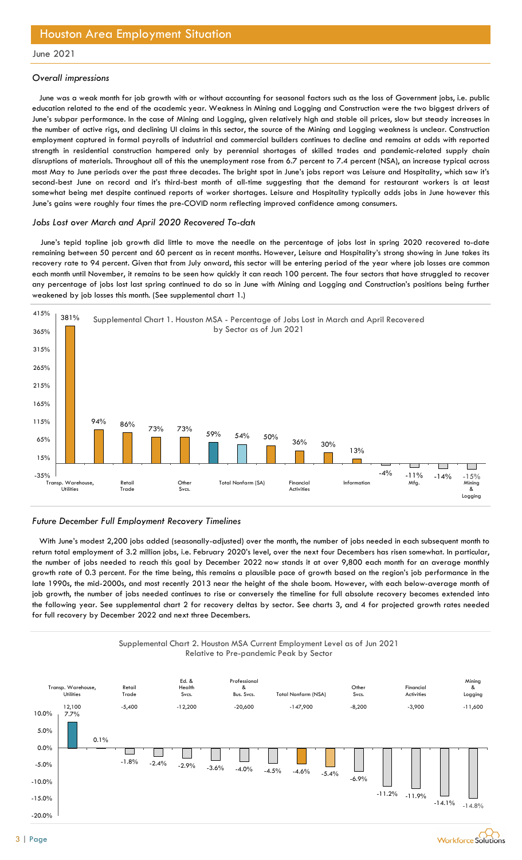### Overall impressions

June was a weak month for job growth with or without accounting for seasonal factors such as the loss of Government jobs, i.e. public education related to the end of the academic year. Weakness in Mining and Logging and Construction were the two biggest drivers of June's subpar performance. In the case of Mining and Logging, given relatively high and stable oil prices, slow but steady increases in the number of active rigs, and declining UI claims in this sector, the source of the Mining and Logging weakness is unclear. Construction employment captured in formal payrolls of industrial and commercial builders continues to decline and remains at odds with reported strength in residential construction hampered only by perennial shortages of skilled trades and pandemic-related supply chain disruptions of materials. Throughout all of this the unemployment rose from 6.7 percent to 7.4 percent (NSA), an increase typical across most May to June periods over the past three decades. The bright spot in June's jobs report was Leisure and Hospitality, which saw it's second-best June on record and it's third-best month of all-time suggesting that the demand for restaurant workers is at least somewhat being met despite continued reports of worker shortages. Leisure and Hospitality typically adds jobs in June however this June's gains were roughly four times the pre-COVID norm reflecting improved confidence among consumers. to the end of the accelering year. Weaching and Loging and Construction were the two bigest drivers of the March to formance. In the case of Mining and Loging, given relatively high and stable all prices, slow but steedy i

#### Jobs Lost over March and April 2020 Recovered To-date

June's tepid topline job growth did little to move the needle on the percentage of jobs lost in spring 2020 recovered to-date remaining between 50 percent and 60 percent as in recent months. However, Leisure and Hospitality's strong showing in June takes its recovery rate to 94 percent. Given that from July onward, this sector will be entering period of the year where job losses are common each month until November, it remains to be seen how quickly it can reach 100 percent. The four sectors that have struggled to recover any percentage of jobs lost last spring continued to do so in June with Mining and Logging and Construction's positions being further weakened by job losses this month. (See supplemental chart 1.)





With June's modest 2,200 jobs added (seasonally-adjusted) over the month, the number of jobs needed in each subsequent month to return total employment of 3.2 million jobs, i.e. February 2020's level, over the next four Decembers has risen somewhat. In particular, the number of jobs needed to reach this goal by December 2022 now stands it at over 9,800 each month for an average monthly growth rate of 0.3 percent. For the time being, this remains a plausible pace of growth based on the region's job performance in the late 1990s, the mid-2000s, and most recently 2013 near the height of the shale boom. However, with each below-average month of job growth, the number of jobs needed continues to rise or conversely the timeline for full absolute recovery becomes extended into the following year. See supplemental chart 2 for recovery deltas by sector. See charts 3, and 4 for projected growth rates needed for full recovery by December 2022 and next three Decembers.



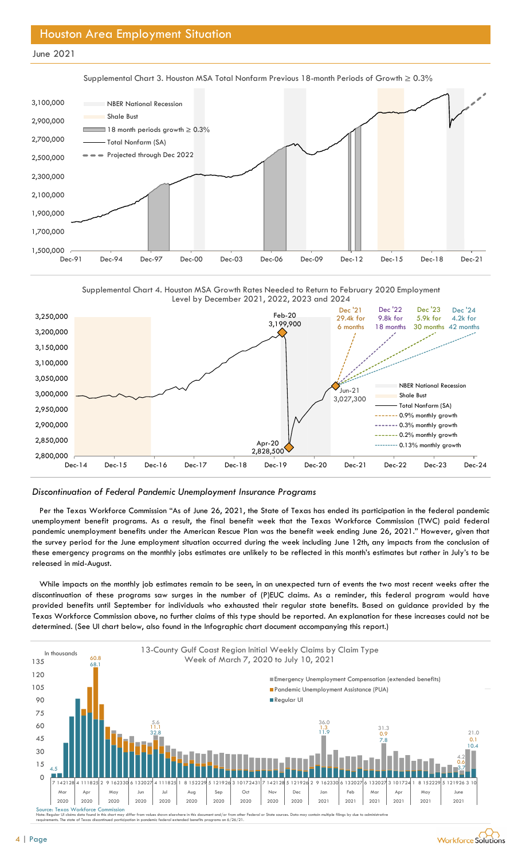



Supplemental Chart 4. Houston MSA Growth Rates Needed to Return to February 2020 Employment Level by December 2021, 2022, 2023 and 2024



#### Discontinuation of Federal Pandemic Unemployment Insurance Programs

Per the Texas Workforce Commission "As of June 26, 2021, the State of Texas has ended its participation in the federal pandemic unemployment benefit programs. As a result, the final benefit week that the Texas Workforce Commission (TWC) paid federal pandemic unemployment benefits under the American Rescue Plan was the benefit week ending June 26, 2021." However, given that the survey period for the June employment situation occurred during the week including June 12th, any impacts from the conclusion of these emergency programs on the monthly jobs estimates are unlikely to be reflected in this month's estimates but rather in July's to be released in mid-August.

While impacts on the monthly job estimates remain to be seen, in an unexpected turn of events the two most recent weeks after the discontinuation of these programs saw surges in the number of (P)EUC claims. As a reminder, this federal program would have provided benefits until September for individuals who exhausted their regular state benefits. Based on guidance provided by the Texas Workforce Commission above, no further claims of this type should be reported. An explanation for these increases could not be determined. (See UI chart below, also found in the Infographic chart document accompanying this report.)



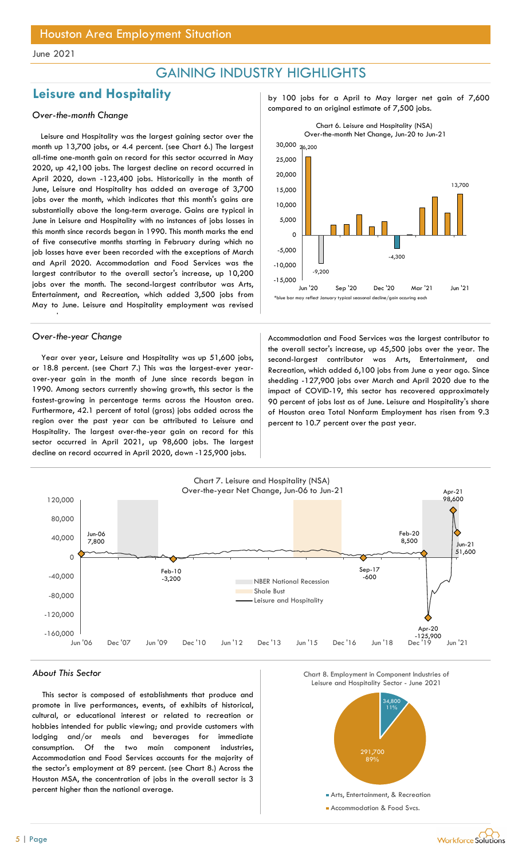## GAINING INDUSTRY HIGHLIGHTS

## Leisure and Hospitality and the particle of the particle politics of the United States of 7,600

Leisure and Hospitality was the largest gaining sector over the month up 13,700 jobs, or 4.4 percent. (see Chart 6.) The largest all-time one-month gain on record for this sector occurred in May 2020, up 42,100 jobs. The largest decline on record occurred in April 2020, down -123,400 jobs. Historically in the month of June, Leisure and Hospitality has added an average of 3,700 jobs over the month, which indicates that this month's gains are substantially above the long-term average. Gains are typical in June in Leisure and Hospitality with no instances of jobs losses in this month since records began in 1990. This month marks the end of five consecutive months starting in February during which no job losses have ever been recorded with the exceptions of March and April 2020. Accommodation and Food Services was the largest contributor to the overall sector's increase, up 10,200 jobs over the month. The second-largest contributor was Arts, Entertainment, and Recreation, which added 3,500 jobs from May to June. Leisure and Hospitality employment was revised

upward

Year over year, Leisure and Hospitality was up 51,600 jobs, or 18.8 percent. (see Chart 7.) This was the largest-ever yearover-year gain in the month of June since records began in 1990. Among sectors currently showing growth, this sector is the fastest-growing in percentage terms across the Houston area. Furthermore, 42.1 percent of total (gross) jobs added across the region over the past year can be attributed to Leisure and Hospitality. The largest over-the-year gain on record for this sector occurred in April 2021, up 98,600 jobs. The largest decline on record occurred in April 2020, down -125,900 jobs.

compared to an original estimate of 7,500 jobs. Over-the-month Change



Over-the-year Change and Theorem Accommodation and Food Services was the largest contributor to the overall sector's increase, up 45,500 jobs over the year. The second-largest contributor was Arts, Entertainment, and Recreation, which added 6,100 jobs from June a year ago. Since shedding -127,900 jobs over March and April 2020 due to the impact of COVID-19, this sector has recovered approximately 90 percent of jobs lost as of June. Leisure and Hospitality's share of Houston area Total Nonfarm Employment has risen from 9.3 percent to 10.7 percent over the past year.



#### About This Sector

This sector is composed of establishments that produce and promote in live performances, events, of exhibits of historical, cultural, or educational interest or related to recreation or hobbies intended for public viewing; and provide customers with lodging and/or meals and beverages for immediate consumption. Of the two main component industries, Accommodation and Food Services accounts for the majority of the sector's employment at 89 percent. (see Chart 8.) Across the Houston MSA, the concentration of jobs in the overall sector is 3 percent higher than the national average.



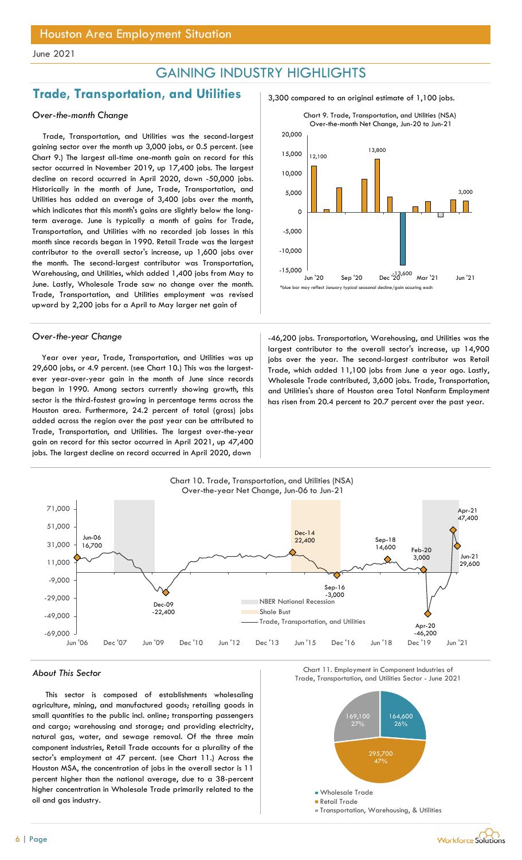## GAINING INDUSTRY HIGHLIGHTS

## **Trade, Transportation, and Utilities**  $\frac{3,300 \text{ compared to an original estimate of } 1,100 \text{ jobs.}}{1,100 \text{ to } 1,100 \text{ jobs.}}$

### Over-the-month Change

Trade, Transportation, and Utilities was the second-largest gaining sector over the month up 3,000 jobs, or 0.5 percent. (see Chart 9.) The largest all-time one-month gain on record for this sector occurred in November 2019, up 17,400 jobs. The largest decline on record occurred in April 2020, down -50,000 jobs. Historically in the month of June, Trade, Transportation, and Utilities has added an average of 3,400 jobs over the month, which indicates that this month's gains are slightly below the longterm average. June is typically a month of gains for Trade, Transportation, and Utilities with no recorded job losses in this month since records began in 1990. Retail Trade was the largest contributor to the overall sector's increase, up 1,600 jobs over the month. The second-largest contributor was Transportation, Warehousing, and Utilities, which added 1,400 jobs from May to June. Lastly, Wholesale Trade saw no change over the month. Trade, Transportation, and Utilities employment was revised upward by 2,200 jobs for a April to May larger net gain of

Year over year, Trade, Transportation, and Utilities was up 29,600 jobs, or 4.9 percent. (see Chart 10.) This was the largestever year-over-year gain in the month of June since records began in 1990. Among sectors currently showing growth, this sector is the third-fastest growing in percentage terms across the Houston area. Furthermore, 24.2 percent of total (gross) jobs added across the region over the past year can be attributed to Trade, Transportation, and Utilities. The largest over-the-year gain on record for this sector occurred in April 2021, up 47,400 jobs. The largest decline on record occurred in April 2020, down



Over-the-year Change Theorem 2008 -46,200 jobs. Transportation, Warehousing, and Utilities was the largest contributor to the overall sector's increase, up 14,900 jobs over the year. The second-largest contributor was Retail Trade, which added 11,100 jobs from June a year ago. Lastly, Wholesale Trade contributed, 3,600 jobs. Trade, Transportation, and Utilities's share of Houston area Total Nonfarm Employment has risen from 20.4 percent to 20.7 percent over the past year.



This sector is composed of establishments wholesaling agriculture, mining, and manufactured goods; retailing goods in small quantities to the public incl. online; transporting passengers and cargo; warehousing and storage; and providing electricity, natural gas, water, and sewage removal. Of the three main component industries, Retail Trade accounts for a plurality of the sector's employment at 47 percent. (see Chart 11.) Across the Houston MSA, the concentration of jobs in the overall sector is 11 percent higher than the national average, due to a 38-percent higher concentration in Wholesale Trade primarily related to the oil and gas industry.





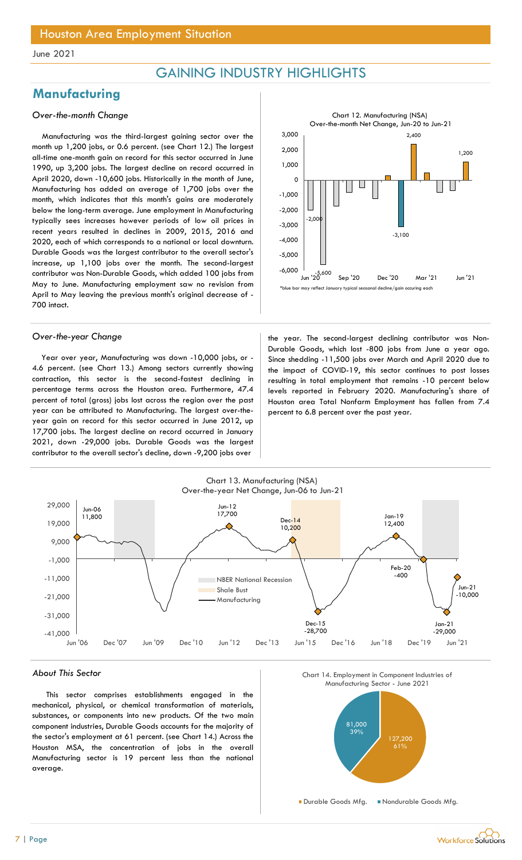## GAINING INDUSTRY HIGHLIGHTS

## **Manufacturing**

### Over-the-month Change

Manufacturing was the third-largest gaining sector over the month up 1,200 jobs, or 0.6 percent. (see Chart 12.) The largest all-time one-month gain on record for this sector occurred in June 1990, up 3,200 jobs. The largest decline on record occurred in April 2020, down -10,600 jobs. Historically in the month of June, Manufacturing has added an average of 1,700 jobs over the month, which indicates that this month's gains are moderately below the long-term average. June employment in Manufacturing typically sees increases however periods of low oil prices in recent years resulted in declines in 2009, 2015, 2016 and 2020, each of which corresponds to a national or local downturn. Durable Goods was the largest contributor to the overall sector's increase, up 1,100 jobs over the month. The second-largest contributor was Non-Durable Goods, which added 100 jobs from May to June. Manufacturing employment saw no revision from April to May leaving the previous month's original decrease of - 700 intact.



Year over year, Manufacturing was down -10,000 jobs, or - 4.6 percent. (see Chart 13.) Among sectors currently showing contraction, this sector is the second-fastest declining in percentage terms across the Houston area. Furthermore, 47.4 percent of total (gross) jobs lost across the region over the past year can be attributed to Manufacturing. The largest over-theyear gain on record for this sector occurred in June 2012, up 17,700 jobs. The largest decline on record occurred in January 2021, down -29,000 jobs. Durable Goods was the largest contributor to the overall sector's decline, down -9,200 jobs over

Over-the-year Change the year. The second-largest declining contributor was Non-Durable Goods, which lost -800 jobs from June a year ago. Since shedding -11,500 jobs over March and April 2020 due to the impact of COVID-19, this sector continues to post losses resulting in total employment that remains -10 percent below levels reported in February 2020. Manufacturing's share of Houston area Total Nonfarm Employment has fallen from 7.4 percent to 6.8 percent over the past year.



### About This Sector

This sector comprises establishments engaged in the mechanical, physical, or chemical transformation of materials, substances, or components into new products. Of the two main component industries, Durable Goods accounts for the majority of the sector's employment at 61 percent. (see Chart 14.) Across the Houston MSA, the concentration of jobs in the overall Manufacturing sector is 19 percent less than the national average.



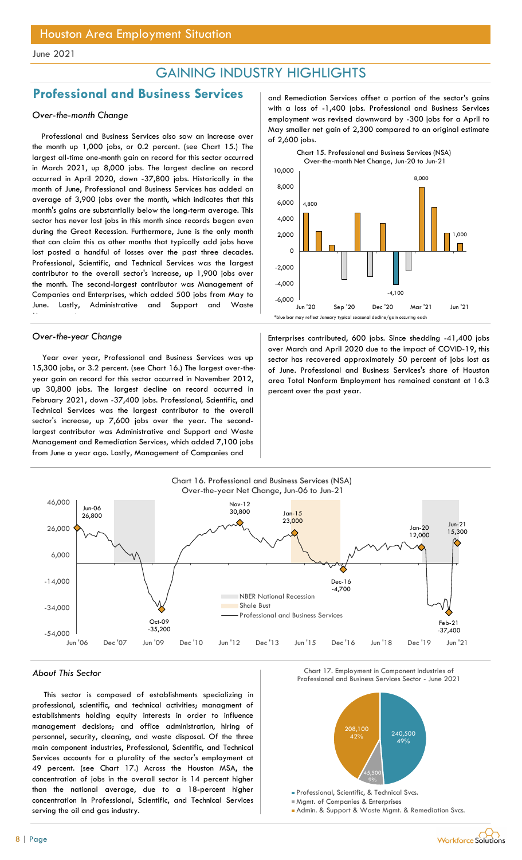## GAINING INDUSTRY HIGHLIGHTS

## Professional and Business Services and Remediation Services offset a portion of the sector's gains

### Over-the-month Change

Professional and Business Services also saw an increase over the month up 1,000 jobs, or 0.2 percent. (see Chart 15.) The largest all-time one-month gain on record for this sector occurred in March 2021, up 8,000 jobs. The largest decline on record occurred in April 2020, down -37,800 jobs. Historically in the month of June, Professional and Business Services has added an average of 3,900 jobs over the month, which indicates that this month's gains are substantially below the long-term average. This sector has never lost jobs in this month since records began even during the Great Recession. Furthermore, June is the only month that can claim this as other months that typically add jobs have lost posted a handful of losses over the past three decades. Professional, Scientific, and Technical Services was the largest contributor to the overall sector's increase, up 1,900 jobs over the month. The second-largest contributor was Management of Companies and Enterprises, which added 500 jobs from May to June. Lastly, Administrative and Support and Waste Management

Year over year, Professional and Business Services was up 15,300 jobs, or 3.2 percent. (see Chart 16.) The largest over-theyear gain on record for this sector occurred in November 2012, up 30,800 jobs. The largest decline on record occurred in February 2021, down -37,400 jobs. Professional, Scientific, and Technical Services was the largest contributor to the overall sector's increase, up 7,600 jobs over the year. The secondlargest contributor was Administrative and Support and Waste Management and Remediation Services, which added 7,100 jobs from June a year ago. Lastly, Management of Companies and

with a loss of -1,400 jobs. Professional and Business Services employment was revised downward by -300 jobs for a April to May smaller net gain of 2,300 compared to an original estimate of 2,600 jobs.



Over-the-year Change **Enterprises contributed, 600 jobs.** Since shedding -41,400 jobs over March and April 2020 due to the impact of COVID-19, this sector has recovered approximately 50 percent of jobs lost as of June. Professional and Business Services's share of Houston area Total Nonfarm Employment has remained constant at 16.3 percent over the past year.



This sector is composed of establishments specializing in professional, scientific, and technical activities; managment of establishments holding equity interests in order to influence management decisions; and office administration, hiring of personnel, security, cleaning, and waste disposal. Of the three main component industries, Professional, Scientific, and Technical Services accounts for a plurality of the sector's employment at 49 percent. (see Chart 17.) Across the Houston MSA, the concentration of jobs in the overall sector is 14 percent higher than the national average, due to a 18-percent higher concentration in Professional, Scientific, and Technical Services serving the oil and gas industry.

About This Sector Chart 17. Employment in Component Industries of Chart 17. Employment in Component Industries of Chart 17. Employment in Component Industries of Chart 17. Employment in Component Industries of Chart 1992. Chart 17. Employment in Component Industries of



Mgmt. of Companies & Enterprises

Admin. & Support & Waste Mgmt. & Remediation Svcs.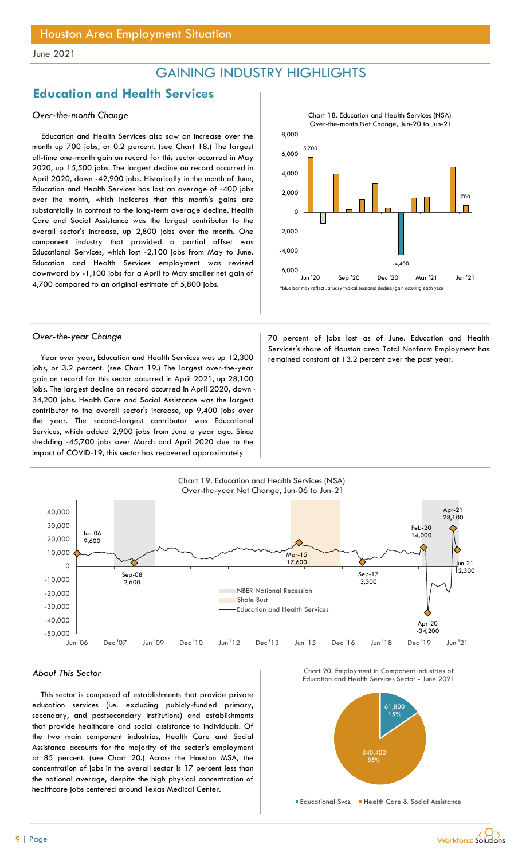## GAINING INDUSTRY HIGHLIGHTS

## Education and Health Services

### Over-the-month Change

Education and Health Services also saw an increase over the month up 700 jobs, or 0.2 percent. (see Chart 18.) The largest all-time one-month gain on record for this sector occurred in May 2020, up 15,500 jobs. The largest decline on record occurred in April 2020, down -42,900 jobs. Historically in the month of June, Education and Health Services has lost an average of -400 jobs over the month, which indicates that this month's gains are substantially in contrast to the long-term average decline. Health Care and Social Assistance was the largest contributor to the overall sector's increase, up 2,800 jobs over the month. One component industry that provided a partial offset was Educational Services, which lost -2,100 jobs from May to June. Education and Health Services employment was revised downward by -1,100 jobs for a April to May smaller net gain of 4,700 compared to an original estimate of 5,800 jobs.

Year over year, Education and Health Services was up 12,300 remained constant at 13.2 percent over the past year. jobs, or 3.2 percent. (see Chart 19.) The largest over-the-year gain on record for this sector occurred in April 2021, up 28,100 jobs. The largest decline on record occurred in April 2020, down -34,200 jobs. Health Care and Social Assistance was the largest contributor to the overall sector's increase, up 9,400 jobs over the year. The second-largest contributor was Educational Services, which added 2,900 jobs from June a year ago. Since shedding -45,700 jobs over March and April 2020 due to the impact of COVID-19, this sector has recovered approximately



Over-the-year Change 70 percent of jobs lost as of June. Education and Health Services's share of Houston area Total Nonfarm Employment has



#### About This Sector

This sector is composed of establishments that provide private education services (i.e. excluding pubicly-funded primary, secondary, and postsecondary institutions) and establishments that provide healthcare and social assistance to individuals. Of the two main component industries, Health Care and Social Assistance accounts for the majority of the sector's employment at 85 percent. (see Chart 20.) Across the Houston MSA, the concentration of jobs in the overall sector is 17 percent less than the national average, despite the high physical concentration of healthcare jobs centered around Texas Medical Center.





Educational Svcs. Health Care & Social Assistance

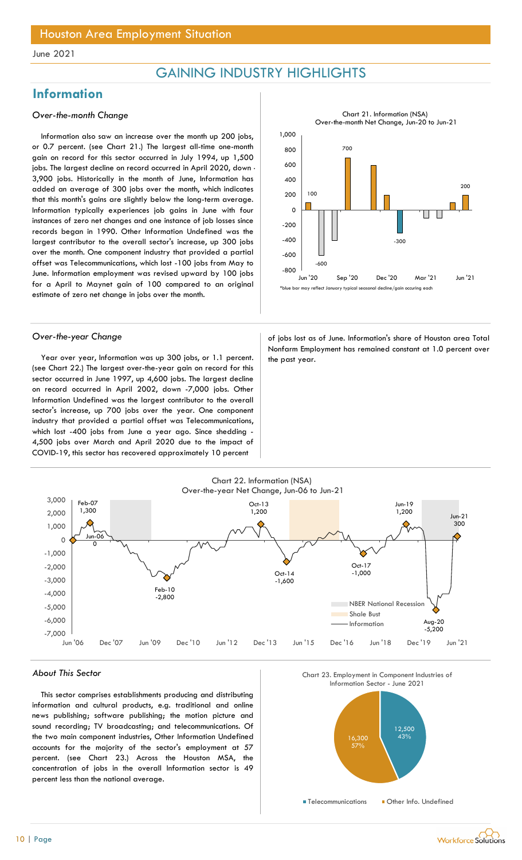## GAINING INDUSTRY HIGHLIGHTS

## **Information**

### Over-the-month Change

Information also saw an increase over the month up 200 jobs, or 0.7 percent. (see Chart 21.) The largest all-time one-month gain on record for this sector occurred in July 1994, up 1,500 jobs. The largest decline on record occurred in April 2020, down -3,900 jobs. Historically in the month of June, Information has added an average of 300 jobs over the month, which indicates that this month's gains are slightly below the long-term average. Information typically experiences job gains in June with four instances of zero net changes and one instance of job losses since records began in 1990. Other Information Undefined was the largest contributor to the overall sector's increase, up 300 jobs over the month. One component industry that provided a partial offset was Telecommunications, which lost -100 jobs from May to June. Information employment was revised upward by 100 jobs for a April to Maynet gain of 100 compared to an original estimate of zero net change in jobs over the month.

Year over year, Information was up 300 jobs, or 1.1 percent.  $\vert$  the past year. (see Chart 22.) The largest over-the-year gain on record for this sector occurred in June 1997, up 4,600 jobs. The largest decline on record occurred in April 2002, down -7,000 jobs. Other Information Undefined was the largest contributor to the overall sector's increase, up 700 jobs over the year. One component industry that provided a partial offset was Telecommunications, which lost -400 jobs from June a year ago. Since shedding - 4,500 jobs over March and April 2020 due to the impact of COVID-19, this sector has recovered approximately 10 percent



Over-the-year Change and a state of jobs lost as of June. Information's share of Houston area Total Nonfarm Employment has remained constant at 1.0 percent over



#### About This Sector

This sector comprises establishments producing and distributing information and cultural products, e.g. traditional and online news publishing; software publishing; the motion picture and sound recording; TV broadcasting; and telecommunications. Of the two main component industries, Other Information Undefined accounts for the majority of the sector's employment at 57 percent. (see Chart 23.) Across the Houston MSA, the concentration of jobs in the overall Information sector is 49 percent less than the national average.



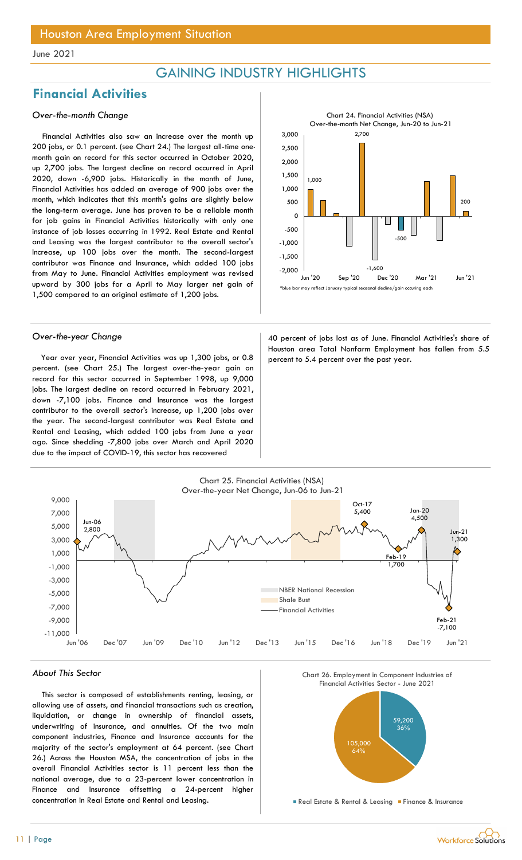## GAINING INDUSTRY HIGHLIGHTS

## Financial Activities

### Over-the-month Change

Financial Activities also saw an increase over the month up 200 jobs, or 0.1 percent. (see Chart 24.) The largest all-time onemonth gain on record for this sector occurred in October 2020, up 2,700 jobs. The largest decline on record occurred in April 2020, down -6,900 jobs. Historically in the month of June, Financial Activities has added an average of 900 jobs over the month, which indicates that this month's gains are slightly below the long-term average. June has proven to be a reliable month for job gains in Financial Activities historically with only one instance of job losses occurring in 1992. Real Estate and Rental and Leasing was the largest contributor to the overall sector's increase, up 100 jobs over the month. The second-largest contributor was Finance and Insurance, which added 100 jobs from May to June. Financial Activities employment was revised upward by 300 jobs for a April to May larger net gain of 1,500 compared to an original estimate of 1,200 jobs.

Year over year, Financial Activities was up 1,300 jobs, or 0.8 percent to 5.4 percent over the past year. percent. (see Chart 25.) The largest over-the-year gain on record for this sector occurred in September 1998, up 9,000 jobs. The largest decline on record occurred in February 2021, down -7,100 jobs. Finance and Insurance was the largest contributor to the overall sector's increase, up 1,200 jobs over the year. The second-largest contributor was Real Estate and Rental and Leasing, which added 100 jobs from June a year ago. Since shedding -7,800 jobs over March and April 2020 due to the impact of COVID-19, this sector has recovered



Over-the-year Change **40** percent of jobs lost as of June. Financial Activities's share of Houston area Total Nonfarm Employment has fallen from 5.5



#### About This Sector

This sector is composed of establishments renting, leasing, or allowing use of assets, and financial transactions such as creation, liquidation, or change in ownership of financial assets, underwriting of insurance, and annuities. Of the two main component industries, Finance and Insurance accounts for the majority of the sector's employment at 64 percent. (see Chart 26.) Across the Houston MSA, the concentration of jobs in the overall Financial Activities sector is 11 percent less than the national average, due to a 23-percent lower concentration in Finance and Insurance offsetting a 24-percent higher concentration in Real Estate and Rental and Leasing.

Chart 26. Employment in Component Industries of



**Real Estate & Rental & Leasing Finance & Insurance**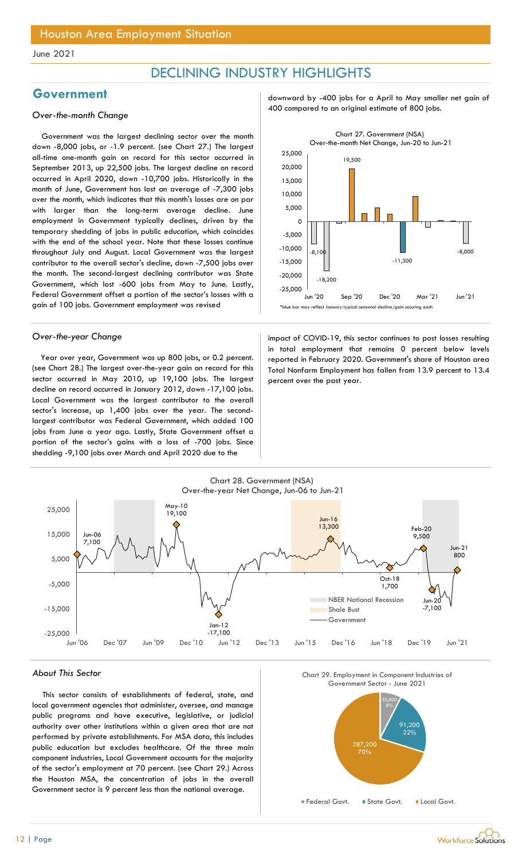## DECLINING INDUSTRY HIGHLIGHTS

Government was the largest declining sector over the month down -8,000 jobs, or -1.9 percent. (see Chart 27.) The largest all-time one-month gain on record for this sector occurred in September 2013, up 22,500 jobs. The largest decline on record occurred in April 2020, down -10,700 jobs. Historically in the month of June, Government has lost an average of -7,300 jobs over the month, which indicates that this month's losses are on par with larger than the long-term average decline. June employment in Government typically declines, driven by the temporary shedding of jobs in public education, which coincides with the end of the school year. Note that these losses continue throughout July and August. Local Government was the largest contributor to the overall sector's decline, down -7,500 jobs over the month. The second-largest declining contributor was State Government, which lost -600 jobs from May to June. Lastly, Federal Government offset a portion of the sector's losses with a gain of 100 jobs. Government employment was revised

Year over year, Government was up 800 jobs, or 0.2 percent. (see Chart 28.) The largest over-the-year gain on record for this sector occurred in May 2010, up 19,100 jobs. The largest decline on record occurred in January 2012, down -17,100 jobs. Local Government was the largest contributor to the overall sector's increase, up 1,400 jobs over the year. The secondlargest contributor was Federal Government, which added 100 jobs from June a year ago. Lastly, State Government offset a portion of the sector's gains with a loss of -700 jobs. Since shedding -9,100 jobs over March and April 2020 due to the

Government downward by -400 jobs for a April to May smaller net gain of 400 compared to an original estimate of 800 jobs. Over-the-month Change



Over-the-year Change impact of COVID-19, this sector continues to post losses resulting in total employment that remains 0 percent below levels reported in February 2020. Government's share of Houston area Total Nonfarm Employment has fallen from 13.9 percent to 13.4 percent over the past year.



#### About This Sector

This sector consists of establishments of federal, state, and local government agencies that administer, oversee, and manage public programs and have executive, legislative, or judicial authority over other institutions within a given area that are not performed by private establishments. For MSA data, this includes public education but excludes healthcare. Of the three main component industries, Local Government accounts for the majority of the sector's employment at 70 percent. (see Chart 29.) Across the Houston MSA, the concentration of jobs in the overall Government sector is 9 percent less than the national average.





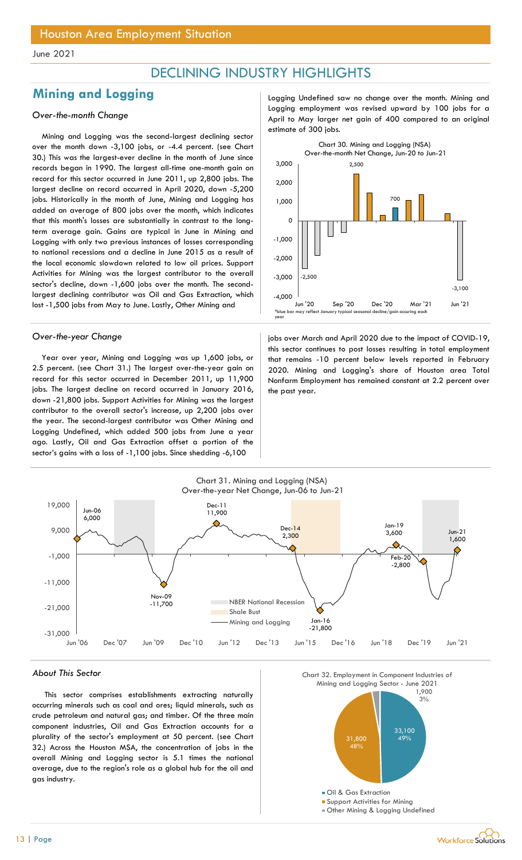## DECLINING INDUSTRY HIGHLIGHTS

## **Mining and Logging** and Logging Logging Logging Undefined saw no change over the month. Mining and

### Over-the-month Change

Mining and Logging was the second-largest declining sector over the month down -3,100 jobs, or -4.4 percent. (see Chart 30.) This was the largest-ever decline in the month of June since records began in 1990. The largest all-time one-month gain on record for this sector occurred in June 2011, up 2,800 jobs. The largest decline on record occurred in April 2020, down -5,200 jobs. Historically in the month of June, Mining and Logging has added an average of 800 jobs over the month, which indicates that this month's losses are substantially in contrast to the longterm average gain. Gains are typical in June in Mining and Logging with only two previous instances of losses corresponding to national recessions and a decline in June 2015 as a result of the local economic slowdown related to low oil prices. Support Activities for Mining was the largest contributor to the overall sector's decline, down -1,600 jobs over the month. The secondlargest declining contributor was Oil and Gas Extraction, which lost -1,500 jobs from May to June. Lastly, Other Mining and

Year over year, Mining and Logging was up 1,600 jobs, or 2.5 percent. (see Chart 31.) The largest over-the-year gain on record for this sector occurred in December 2011, up 11,900 jobs. The largest decline on record occurred in January 2016, down -21,800 jobs. Support Activities for Mining was the largest contributor to the overall sector's increase, up 2,200 jobs over the year. The second-largest contributor was Other Mining and Logging Undefined, which added 500 jobs from June a year ago. Lastly, Oil and Gas Extraction offset a portion of the sector's gains with a loss of -1,100 jobs. Since shedding -6,100

Logging employment was revised upward by 100 jobs for a April to May larger net gain of 400 compared to an original estimate of 300 jobs.



Over-the-year Change in the impact of COVID-19, jobs over March and April 2020 due to the impact of COVID-19, this sector continues to post losses resulting in total employment that remains -10 percent below levels reported in February 2020. Mining and Logging's share of Houston area Total Nonfarm Employment has remained constant at 2.2 percent over the past year.



#### About This Sector

This sector comprises establishments extracting naturally occurring minerals such as coal and ores; liquid minerals, such as crude petroleum and natural gas; and timber. Of the three main component industries, Oil and Gas Extraction accounts for a plurality of the sector's employment at 50 percent. (see Chart 32.) Across the Houston MSA, the concentration of jobs in the overall Mining and Logging sector is 5.1 times the national average, due to the region's role as a global hub for the oil and gas industry.

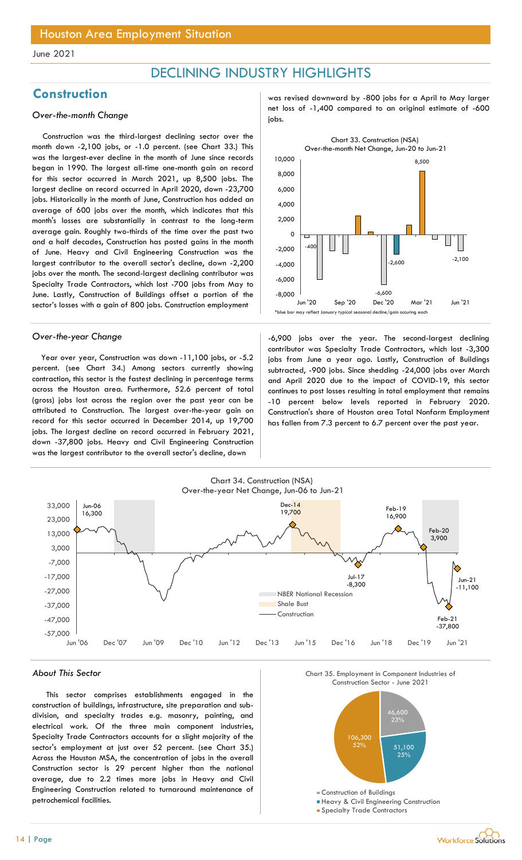## DECLINING INDUSTRY HIGHLIGHTS

Construction was the third-largest declining sector over the month down -2,100 jobs, or -1.0 percent. (see Chart 33.) This was the largest-ever decline in the month of June since records began in 1990. The largest all-time one-month gain on record for this sector occurred in March 2021, up 8,500 jobs. The largest decline on record occurred in April 2020, down -23,700 jobs. Historically in the month of June, Construction has added an average of 600 jobs over the month, which indicates that this month's losses are substantially in contrast to the long-term average gain. Roughly two-thirds of the time over the past two and a half decades, Construction has posted gains in the month of June. Heavy and Civil Engineering Construction was the largest contributor to the overall sector's decline, down -2,200 jobs over the month. The second-largest declining contributor was Specialty Trade Contractors, which lost -700 jobs from May to June. Lastly, Construction of Buildings offset a portion of the sector's losses with a gain of 800 jobs. Construction employment

Year over year, Construction was down -11,100 jobs, or -5.2 percent. (see Chart 34.) Among sectors currently showing contraction, this sector is the fastest declining in percentage terms across the Houston area. Furthermore, 52.6 percent of total (gross) jobs lost across the region over the past year can be attributed to Construction. The largest over-the-year gain on record for this sector occurred in December 2014, up 19,700 jobs. The largest decline on record occurred in February 2021, down -37,800 jobs. Heavy and Civil Engineering Construction was the largest contributor to the overall sector's decline, down

Construction and was revised downward by -800 jobs for a April to May larger Over-the-month Change **net loss of -1,400** compared to an original estimate of -600 over-the-month Change



Over-the-year Change and the second-largest declining over the year. The second-largest declining contributor was Specialty Trade Contractors, which lost -3,300 jobs from June a year ago. Lastly, Construction of Buildings subtracted, -900 jobs. Since shedding -24,000 jobs over March and April 2020 due to the impact of COVID-19, this sector continues to post losses resulting in total employment that remains -10 percent below levels reported in February 2020. Construction's share of Houston area Total Nonfarm Employment has fallen from 7.3 percent to 6.7 percent over the past year.



#### About This Sector

This sector comprises establishments engaged in the construction of buildings, infrastructure, site preparation and subdivision, and specialty trades e.g. masonry, painting, and electrical work. Of the three main component industries, Specialty Trade Contractors accounts for a slight majority of the sector's employment at just over 52 percent. (see Chart 35.) Across the Houston MSA, the concentration of jobs in the overall Construction sector is 29 percent higher than the national average, due to 2.2 times more jobs in Heavy and Civil Engineering Construction related to turnaround maintenance of petrochemical facilities.





- Heavy & Civil Engineering Construction
- **Specialty Trade Contractors**

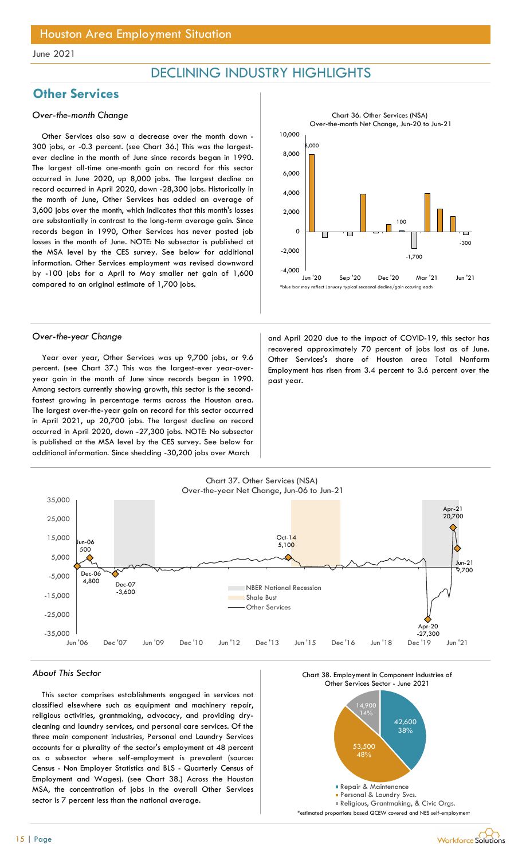## DECLINING INDUSTRY HIGHLIGHTS

## **Other Services**

### Over-the-month Change

Other Services also saw a decrease over the month down - 300 jobs, or -0.3 percent. (see Chart 36.) This was the largestever decline in the month of June since records began in 1990. The largest all-time one-month gain on record for this sector occurred in June 2020, up 8,000 jobs. The largest decline on record occurred in April 2020, down -28,300 jobs. Historically in the month of June, Other Services has added an average of 3,600 jobs over the month, which indicates that this month's losses are substantially in contrast to the long-term average gain. Since records began in 1990, Other Services has never posted job losses in the month of June. NOTE: No subsector is published at the MSA level by the CES survey. See below for additional information. Other Services employment was revised downward by -100 jobs for a April to May smaller net gain of 1,600 compared to an original estimate of 1,700 jobs.



Year over year, Other Services was up 9,700 jobs, or 9.6 percent. (see Chart 37.) This was the largest-ever year-overyear gain in the month of June since records began in 1990. Among sectors currently showing growth, this sector is the secondfastest growing in percentage terms across the Houston area. The largest over-the-year gain on record for this sector occurred in April 2021, up 20,700 jobs. The largest decline on record occurred in April 2020, down -27,300 jobs. NOTE: No subsector is published at the MSA level by the CES survey. See below for additional information. Since shedding -30,200 jobs over March

Over-the-year Change and April 2020 due to the impact of COVID-19, this sector has recovered approximately 70 percent of jobs lost as of June. Other Services's share of Houston area Total Nonfarm Employment has risen from 3.4 percent to 3.6 percent over the past year.



#### About This Sector

This sector comprises establishments engaged in services not classified elsewhere such as equipment and machinery repair, religious activities, grantmaking, advocacy, and providing drycleaning and laundry services, and personal care services. Of the three main component industries, Personal and Laundry Services accounts for a plurality of the sector's employment at 48 percent as a subsector where self-employment is prevalent (source: Census - Non Employer Statistics and BLS - Quarterly Census of Employment and Wages). (see Chart 38.) Across the Houston MSA, the concentration of jobs in the overall Other Services sector is 7 percent less than the national average.

![](_page_14_Figure_13.jpeg)

![](_page_14_Figure_14.jpeg)

![](_page_14_Picture_15.jpeg)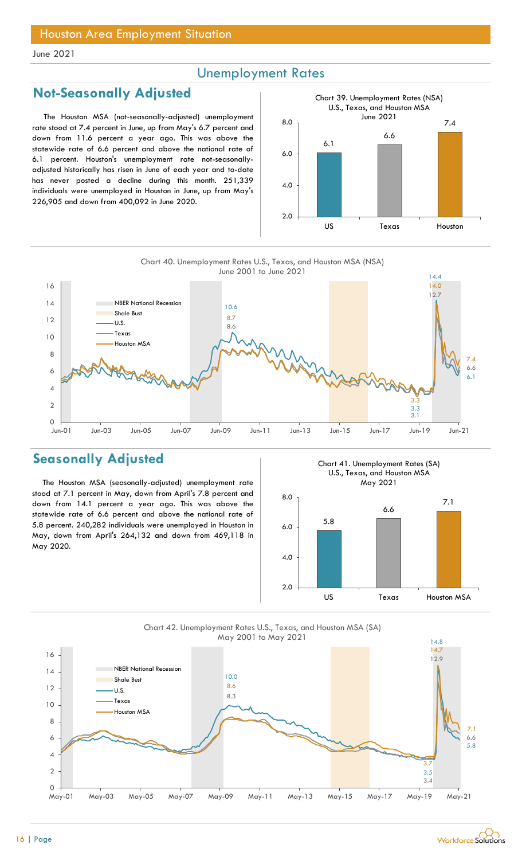## Unemployment Rates

## Not-Seasonally Adjusted

The Houston MSA (not-seasonally-adjusted) unemployment rate stood at 7.4 percent in June, up from May's 6.7 percent and down from 11.6 percent a year ago. This was above the statewide rate of 6.6 percent and above the national rate of 6.1 percent. Houston's unemployment rate not-seasonallyadjusted historically has risen in June of each year and to-date has never posted a decline during this month. 251,339 individuals were unemployed in Houston in June, up from May's 226,905 and down from 400,092 in June 2020.

![](_page_15_Figure_5.jpeg)

![](_page_15_Figure_6.jpeg)

## Seasonally Adjusted

The Houston MSA (seasonally-adjusted) unemployment rate stood at 7.1 percent in May, down from April's 7.8 percent and down from 14.1 percent a year ago. This was above the statewide rate of 6.6 percent and above the national rate of 5.8 percent. 240,282 individuals were unemployed in Houston in May, down from April's 264,132 and down from 469,118 in May 2020.

Chart 41. Unemployment Rates (SA) U.S., Texas, and Houston MSA

![](_page_15_Figure_10.jpeg)

![](_page_15_Figure_11.jpeg)